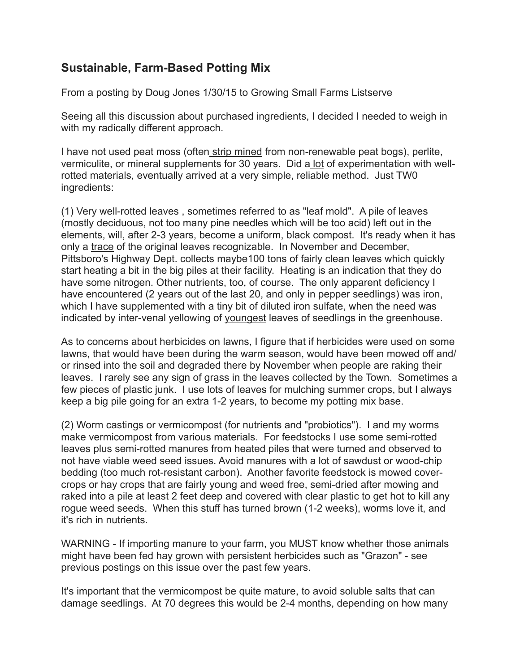## **Sustainable, Farm-Based Potting Mix**

From a posting by Doug Jones 1/30/15 to Growing Small Farms Listserve

Seeing all this discussion about purchased ingredients, I decided I needed to weigh in with my radically different approach.

I have not used peat moss (often strip mined from non-renewable peat bogs), perlite, vermiculite, or mineral supplements for 30 years. Did a lot of experimentation with wellrotted materials, eventually arrived at a very simple, reliable method. Just TW0 ingredients:

(1) Very well-rotted leaves , sometimes referred to as "leaf mold". A pile of leaves (mostly deciduous, not too many pine needles which will be too acid) left out in the elements, will, after 2-3 years, become a uniform, black compost. It's ready when it has only a trace of the original leaves recognizable. In November and December, Pittsboro's Highway Dept. collects maybe100 tons of fairly clean leaves which quickly start heating a bit in the big piles at their facility. Heating is an indication that they do have some nitrogen. Other nutrients, too, of course. The only apparent deficiency I have encountered (2 years out of the last 20, and only in pepper seedlings) was iron, which I have supplemented with a tiny bit of diluted iron sulfate, when the need was indicated by inter-venal yellowing of youngest leaves of seedlings in the greenhouse.

As to concerns about herbicides on lawns, I figure that if herbicides were used on some lawns, that would have been during the warm season, would have been mowed off and/ or rinsed into the soil and degraded there by November when people are raking their leaves. I rarely see any sign of grass in the leaves collected by the Town. Sometimes a few pieces of plastic junk. I use lots of leaves for mulching summer crops, but I always keep a big pile going for an extra 1-2 years, to become my potting mix base.

(2) Worm castings or vermicompost (for nutrients and "probiotics"). I and my worms make vermicompost from various materials. For feedstocks I use some semi-rotted leaves plus semi-rotted manures from heated piles that were turned and observed to not have viable weed seed issues. Avoid manures with a lot of sawdust or wood-chip bedding (too much rot-resistant carbon). Another favorite feedstock is mowed covercrops or hay crops that are fairly young and weed free, semi-dried after mowing and raked into a pile at least 2 feet deep and covered with clear plastic to get hot to kill any rogue weed seeds. When this stuff has turned brown (1-2 weeks), worms love it, and it's rich in nutrients.

WARNING - If importing manure to your farm, you MUST know whether those animals might have been fed hay grown with persistent herbicides such as "Grazon" - see previous postings on this issue over the past few years.

It's important that the vermicompost be quite mature, to avoid soluble salts that can damage seedlings. At 70 degrees this would be 2-4 months, depending on how many